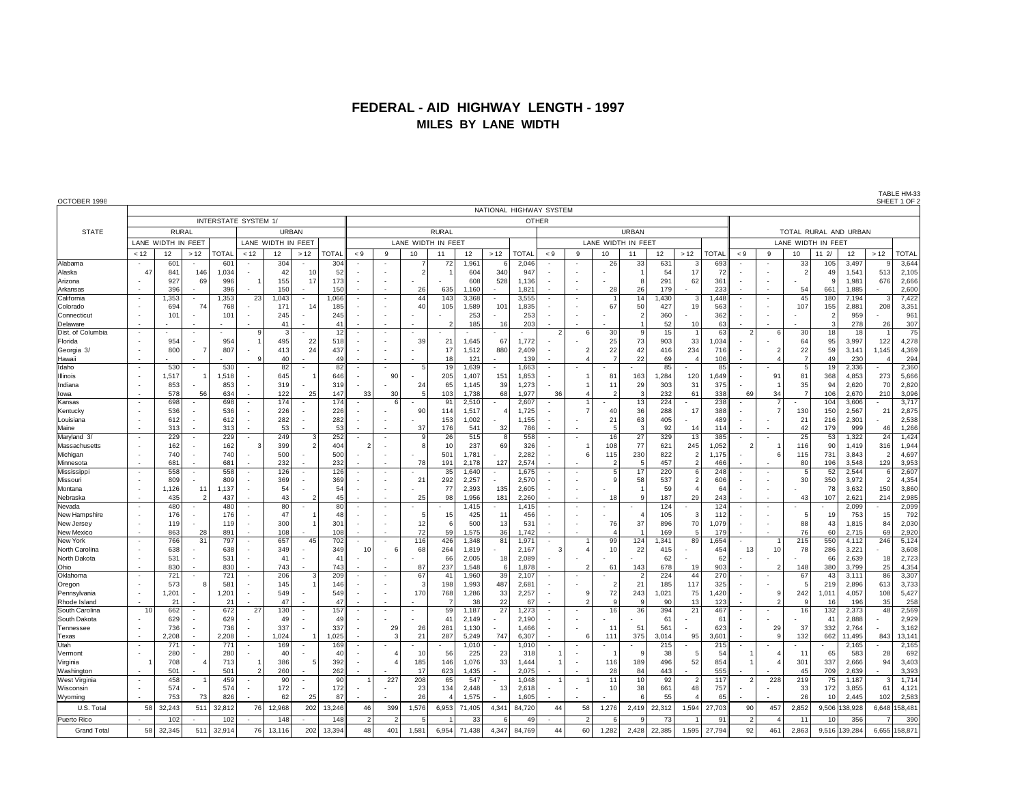## **FEDERAL - AID HIGHWAY LENGTH - 1997 MILES BY LANE WIDTH**

| OCTOBER 1998         |                                            |                      |                          |              |                |                    |                          |              |                |                          |                    |                       |                |            |                         |                          |               |                    |                          |              |       |              |                          |               |                      |                |                       |            | TABLE HM-33<br>SHEET 1 OF 2 |  |
|----------------------|--------------------------------------------|----------------------|--------------------------|--------------|----------------|--------------------|--------------------------|--------------|----------------|--------------------------|--------------------|-----------------------|----------------|------------|-------------------------|--------------------------|---------------|--------------------|--------------------------|--------------|-------|--------------|--------------------------|---------------|----------------------|----------------|-----------------------|------------|-----------------------------|--|
|                      |                                            |                      |                          |              |                |                    |                          |              |                |                          |                    |                       |                |            | NATIONAL HIGHWAY SYSTEM |                          |               |                    |                          |              |       |              |                          |               |                      |                |                       |            |                             |  |
|                      |                                            | INTERSTATE SYSTEM 1/ |                          |              |                |                    |                          |              |                |                          |                    |                       |                |            |                         | <b>OTHER</b>             |               |                    |                          |              |       |              |                          |               |                      |                |                       |            |                             |  |
| <b>STATE</b>         |                                            | <b>RURAL</b>         |                          |              |                |                    | <b>URBAN</b>             |              |                |                          |                    | <b>RURAL</b>          |                |            |                         |                          |               |                    | <b>URBAN</b>             |              |       |              |                          |               |                      |                | TOTAL RURAL AND URBAN |            |                             |  |
|                      |                                            | LANE WIDTH IN FEET   |                          |              |                | LANE WIDTH IN FEET |                          |              |                |                          | LANE WIDTH IN FEET |                       |                |            |                         |                          |               | LANE WIDTH IN FEET |                          |              |       |              |                          |               | LANE WIDTH IN FEET   |                |                       |            |                             |  |
|                      | < 12                                       | 12                   | >12                      | <b>TOTAL</b> | < 12           | 12                 | >12                      | <b>TOTAL</b> | < 9            | 9                        | 10                 | 11                    | 12             | >12        | <b>TOTAL</b>            | $< 9$                    | 9             | 10                 | 11                       | 12           | >12   | <b>TOTAL</b> | < 9                      | 9             | 10                   | 112/           | 12                    | >12        | <b>TOTAL</b>                |  |
| Alabama              | $\overline{\phantom{a}}$                   | 601                  |                          | 601          |                | 304                |                          | 304          |                |                          |                    | 72                    | 1,961          | 6          | 2,046                   |                          |               | 26                 | 33                       | 631          | з     | 693          |                          |               | 33                   | 105            | 3,497                 | ç          | 3,644                       |  |
| Alaska               | 47                                         | 841                  | 146                      | 1,034        |                | 42                 | 10                       | 52           |                |                          | 2                  |                       | 604            | 340        | 947                     |                          |               |                    | -1                       | 54           | 17    | 72           |                          |               | $\mathcal{P}$        | 49<br>c        | 1,541                 | 513        | 2,105                       |  |
| Arizona<br>Arkansas  |                                            | 927<br>396           | 69                       | 996<br>396   |                | 155<br>150         | 17                       | 173<br>150   |                |                          | 26                 | 635                   | 608<br>1,160   | 528        | 1,136<br>1,821          |                          |               | 28                 | 8<br>26                  | 291<br>179   | 62    | 361<br>233   |                          |               | 54                   | 661            | 1,981<br>1,885        | 676        | 2,666<br>2,600              |  |
| California           | $\overline{\phantom{a}}$                   | 1,353                | $\sim$                   | 1,353        | 23             | 1,043              | $\overline{\phantom{a}}$ | 1,066        |                | $\overline{a}$           | 44                 | 143                   | 3,368          |            | 3,555                   |                          |               |                    | 14                       | 1,430        | 3     | 1,448        |                          |               | 45                   | 180            | 7,194                 | 3          | 7,422                       |  |
| Colorado             |                                            | 694                  | 74                       | 768          |                | 171                | 14                       | 185          |                |                          | 40                 | 105                   | 1,589          | 101        | 1,835                   |                          |               | 67                 | 50                       | 427          | 19    | 563          |                          |               | 107                  | 155            | 2,881                 | 208        | 3,351                       |  |
| Connecticut          |                                            | 101                  |                          | 101          |                | 245                |                          | 245          |                |                          |                    |                       | 253            |            | 253                     |                          |               |                    | $\overline{2}$           | 360          |       | 362          |                          |               |                      | $\overline{2}$ | 959                   |            | 961                         |  |
| Delaware             | $\overline{a}$                             |                      |                          |              |                | 41                 |                          | 41           |                | $\overline{a}$           |                    |                       | 185            | 16         | 203                     |                          |               |                    | $\overline{1}$           | 52           | 10    | 63           |                          |               |                      | 3              | 278                   | 26         | 307                         |  |
| Dist. of Columbia    | $\blacksquare$                             |                      |                          |              | 9              | p                  |                          | 12           |                | $\overline{\phantom{a}}$ |                    |                       |                |            |                         | $\overline{2}$           | ี             | 30                 | 9                        | 15           |       | 63           | $\mathfrak{p}$           |               | 30                   | 18             | 18                    |            | $\overline{75}$             |  |
| Florida              | $\blacksquare$                             | 954                  |                          | 954          |                | 495                | 22                       | 518          |                |                          | 39                 | 21                    | 1,645          | 67         | 1,772                   |                          |               | 25                 | 73                       | 903          | 33    | 1,034        |                          |               | 64                   | 95             | 3,997                 | 122        | 4,278                       |  |
| Georgia 3/<br>Hawaii |                                            | 800                  |                          | 807          |                | 413<br>40          | 24                       | 437<br>49    |                |                          |                    | 17<br>18              | 1,512<br>121   | 880        | 2,409<br>139            |                          | $\mathcal{P}$ | 22                 | 42<br>22                 | 416<br>69    | 234   | 716<br>106   |                          |               | 22<br>$\overline{7}$ | 59<br>49       | 3,141<br>230          | 1,145      | 4,369<br>294                |  |
| Idaho                | $\sim$                                     | 530                  | $\blacksquare$           | 530          |                | 82                 | $\overline{\phantom{a}}$ | 82           |                | ٠                        | 5                  | 19                    | 1,639          |            | 1,663                   | $\overline{\phantom{a}}$ |               |                    |                          | 85           |       | 85           |                          |               | 5                    | 19             | 2,336                 |            | 2,360                       |  |
| Illinois             | $\overline{\phantom{a}}$                   | 1.517                |                          | 1.518        |                | 645                |                          | 646          |                | 90                       |                    | 205                   | 1.407          | 151        | 1,853                   |                          |               | 81                 | 163                      | 1.284        | 120   | 1.649        |                          | 91            | 81                   | 368            | 4.853                 | 273        | 5,666                       |  |
| Indiana              | $\overline{\phantom{a}}$                   | 853                  |                          | 853          |                | 319                |                          | 319          |                |                          | 24                 | 65                    | 1.145          | 39         | 1,273                   |                          |               | 11                 | 29                       | 303          | 31    | 375          |                          |               | 35                   | 94             | 2.620                 | 70         | 2,820                       |  |
| lowa                 | $\overline{\phantom{a}}$                   | 578                  | 56                       | 634          |                | 122                | 25                       | 147          | 33             | 30                       | -5                 | 103                   | 1.738          | 68         | 1.977                   | 36                       |               |                    | 3                        | 232          | 61    | 338          | 69                       | 34            | $\overline{7}$       | 106            | 2.670                 | 210        | 3,096                       |  |
| Kansas               | $\overline{\phantom{a}}$                   | 698                  |                          | 698          |                | 174                |                          | 174          |                | ี                        |                    | 9'                    | 2,510          |            | 2,607                   |                          |               |                    | 13                       | 224          |       | 238          |                          |               |                      | 104            | 3,606                 |            | 3,717                       |  |
| Kentucky             | $\blacksquare$                             | 536                  |                          | 536          |                | 226                |                          | 226          |                |                          | 90                 | 114                   | 1.517          |            | 1,725                   |                          |               | 40                 | 36                       | 288          | 17    | 388          |                          |               | 130                  | 150            | 2.567                 | 21         | 2,875                       |  |
| Louisiana<br>Maine   | $\overline{\phantom{a}}$                   | 612<br>313           |                          | 612<br>313   |                | 282<br>53          |                          | 282<br>53    |                |                          | 37                 | 153<br>176            | 1,002<br>541   | 32         | 1,155<br>786            |                          |               | 21<br>5            | 63<br>3                  | 405<br>92    | 14    | 489<br>114   |                          |               | 21<br>42             | 216<br>179     | 2,301<br>999          | 46         | 2,538<br>1,266              |  |
| Maryland 3/          | $\overline{\phantom{a}}$                   | 229                  |                          | 229          |                | 249                |                          | 252          |                |                          | c                  | 26                    | 515            | 8          | 558                     |                          |               | 16                 | 27                       | 329          | 13    | 385          |                          |               | 25                   | 53             | 1,322                 | 24         | 1,424                       |  |
| Massachusetts        | $\blacksquare$                             | 162                  |                          | 162          | 3              | 399                |                          | 404          | 2              | $\sim$                   | я                  | 10                    | 237            | 69         | 326                     |                          |               | 108                | 77                       | 621          | 245   | 1.052        | 2                        |               | 116                  | 90             | 1.419                 | 316        | 1,944                       |  |
| Michigan             |                                            | 740                  |                          | 740          |                | 500                |                          | 500          |                |                          |                    | 501                   | 1,781          |            | 2,282                   |                          |               | 115                | 230                      | 822          |       | 1.175        |                          |               | 115                  | 731            | 3,843                 |            | 4,697                       |  |
| Minnesota            | $\overline{a}$                             | 681                  |                          | 681          |                | 232                |                          | 232          |                |                          | 78                 | 191                   | 2,178          | 127        | 2,574                   |                          |               |                    | 5                        | 457          | 2     | 466          |                          |               | 80                   | 196            | 3,548                 | 129        | 3,953                       |  |
| Mississipp           | $\overline{\phantom{a}}$                   | 558                  |                          | 558          |                | 126                |                          | 126          |                | $\overline{\phantom{a}}$ |                    | 35                    | 1,640          |            | 1,675                   |                          |               | 5                  | 17                       | 220          | 6     | 248          |                          |               | 5                    | 52             | 2,544                 | -6         | 2,607                       |  |
| Missouri             |                                            | 809                  |                          | 809          |                | 369                |                          | 369          |                |                          | 21                 | 292                   | 2,257          |            | 2,570                   |                          |               |                    | 58                       | 537          |       | 606          |                          |               | 30                   | 350            | 3,972                 |            | 4,354                       |  |
| Montana<br>Nebraska  | $\overline{\phantom{a}}$                   | 1,126<br>435         | 11<br>$\overline{2}$     | 1,137<br>437 |                | 54<br>43           |                          | 54<br>45     |                |                          | 25                 | 77<br>98              | 2,393<br>1,956 | 135<br>181 | 2,605<br>2,260          |                          |               | 18                 | -1<br>9                  | 59<br>187    | 29    | 64<br>243    | $\overline{\phantom{a}}$ |               | 43                   | 78<br>107      | 3,632<br>2,621        | 150<br>214 | 3,860<br>2,985              |  |
| Nevada               | $\overline{\phantom{a}}$                   | 480                  |                          | 480          |                | 80                 |                          | 80           |                |                          |                    |                       | 1,415          |            | 1,415                   |                          |               |                    |                          | 124          |       | 124          |                          |               |                      |                | 2,099                 |            | 2,099                       |  |
| New Hampshire        |                                            | 176                  |                          | 176          |                | 47                 |                          | 48           |                |                          | 5                  | 15                    | 425            | 11         | 456                     |                          |               |                    |                          | 105          | G     | 112          |                          |               | 5                    | 19             | 753                   | 15         | 792                         |  |
| New Jersey           | $\overline{\phantom{a}}$                   | 119                  |                          | 119          |                | 300                |                          | 301          |                |                          | 12                 | 6                     | 500            | 13         | 531                     |                          |               | 76                 | 37                       | 896          | 70    | 1,079        |                          |               | 88                   | 43             | 1,815                 | 84         | 2,030                       |  |
| New Mexico           | $\overline{a}$                             | 863                  | 28                       | 891          |                | 108                |                          | 108          |                |                          | 72                 | 59                    | 1,575          | 36         | 1,742                   |                          |               |                    |                          | 169          | 5     | 179          |                          |               | 76                   | 60             | 2,715                 | 69         | 2,920                       |  |
| New York             | $\overline{\phantom{a}}$                   | 766                  | 31                       | 797          |                | 657                | 45                       | 702          |                |                          | 116                | 426                   | 1,348          | 81         | 1,971                   |                          |               | 99                 | 124                      | 1,341        | 89    | 1,654        |                          |               | 215                  | 550            | 4,112                 | 246        | 5,124                       |  |
| North Carolina       | $\overline{\phantom{a}}$                   | 638                  |                          | 638          |                | 349<br>41          |                          | 349<br>41    | 10             |                          | 68                 | 264                   | 1,819          |            | 2,167                   | 3                        |               | 10                 | 22                       | 415          |       | 454          | 13                       | 10            | 78                   | 286            | 3,221                 |            | 3,608                       |  |
| North Dakota<br>Ohio | $\overline{\phantom{a}}$<br>÷,             | 531<br>830           |                          | 531<br>830   |                | 743                |                          | 743          |                |                          | 87                 | 66<br>237             | 2,005<br>1,548 | 18<br>6    | 2,089<br>1,878          |                          |               | 61                 | 143                      | 62<br>678    | 19    | 62<br>903    |                          |               | 148                  | 66<br>380      | 2,639<br>3,799        | 18<br>25   | 2,723<br>4,354              |  |
| Oklahoma             | $\overline{\phantom{a}}$                   | 721                  | $\overline{\phantom{a}}$ | 721          |                | 206                |                          | 209          |                |                          | 67                 | 41                    | 1,960          | 39         | 2,107                   |                          |               |                    | $\overline{\phantom{a}}$ | 224          | 44    | 270          |                          |               | 67                   | 43             | 3,111                 | 86         | 3,307                       |  |
| Oregon               |                                            | 573                  |                          | 581          |                | 145                |                          | 146          |                |                          | з                  | 198                   | 1,993          | 487        | 2,681                   |                          |               |                    | 21                       | 185          | 117   | 325          |                          |               | 5                    | 219            | 2.896                 | 613        | 3,733                       |  |
| Pennsylvania         | $\overline{\phantom{a}}$                   | 1,201                | $\overline{\phantom{a}}$ | 1,201        |                | 549                | $\sim$                   | 549          |                | $\sim$                   | 170                | 768                   | 1,286          | 33         | 2,257                   | $\overline{\phantom{a}}$ | 9             | 72                 | 243                      | 1,021        | 75    | 1,420        |                          | c             | 242                  | 1.011          | 4,057                 | 108        | 5,427                       |  |
| Rhode Island         |                                            | 21                   |                          | 21           |                | 47                 |                          | 47           |                |                          |                    |                       | 38             | 22         | 67                      |                          |               | $\mathbf{g}$       | 9                        | 90           | 13    | 123          |                          |               | 9                    | 16             | 196                   | 35         | 258                         |  |
| South Carolina       | 10                                         | 662                  |                          | 672          | 27             | 130                |                          | 157          |                |                          |                    | 59                    | 1.187          | 27         | 1.273                   |                          |               | 16                 | 36                       | 394          | 21    | 467          |                          |               | 16                   | 132            | 2.373                 | 48         | 2,569                       |  |
| South Dakota         |                                            | 629                  |                          | 629          |                | 49                 |                          | 49           |                |                          |                    | $\mathbf{4}^{\prime}$ | 2,149          |            | 2,190                   |                          |               |                    |                          | 61           |       | 61           |                          |               |                      | 41             | 2.888                 |            | 2,929                       |  |
| Tennessee            | $\overline{\phantom{a}}$<br>$\overline{a}$ | 736<br>2.208         |                          | 736<br>2.208 |                | 337<br>1,024       |                          | 337<br>1,025 |                | 29<br>3                  | 26<br>21           | 281<br>287            | 1,130<br>5,249 | 747        | 1,466<br>6,307          |                          |               | 11<br>111          | 51<br>375                | 561<br>3,014 | 95    | 623<br>3,601 | $\overline{\phantom{a}}$ | 29<br>$\circ$ | 37<br>132            | 332<br>662     | 2,764<br>11.495       | 843        | 3,162                       |  |
| Texas<br>Utah        | $\overline{\phantom{a}}$                   | 771                  | $\blacksquare$           | 771          |                | 169                |                          | 169          |                |                          |                    |                       | 1.010          |            | 1.010                   |                          |               |                    |                          | 215          |       | 215          |                          |               |                      |                | 2.165                 |            | 13,141<br>2,165             |  |
| Vermont              |                                            | 280                  |                          | 280          |                | 40                 |                          | 40           |                |                          | 10                 | 56                    | 225            | 23         | 318                     |                          |               |                    | <b>q</b>                 | 38           | ÷     | 54           |                          |               | 11                   | 65             | 583                   | 28         | 692                         |  |
| Virginia             |                                            | 708                  |                          | 713          |                | 386                |                          | 392          |                |                          | 185                | 146                   | 1,076          | 33         | 1,444                   |                          |               | 116                | 189                      | 496          | 52    | 854          |                          |               | 301                  | 337            | 2,666                 | 94         | 3,403                       |  |
| Washingtor           |                                            | 501                  |                          | 501          | $\overline{2}$ | 260                |                          | 262          |                |                          | 17                 | 623                   | 1.435          |            | 2.075                   |                          |               | 28                 | 84                       | 443          |       | 555          |                          |               | 45                   | 709            | 2,639                 |            | 3,393                       |  |
| <b>West Virginia</b> |                                            | 458                  |                          | 459          |                | 90                 |                          | 90           |                | 227                      | 208                | 65                    | 547            |            | 1,048                   |                          |               | 11                 | 10                       | 92           | 2     | 117          | $\overline{\phantom{a}}$ | 228           | 219                  | 75             | 1,187                 | 3          | 1,714                       |  |
| Wisconsin            |                                            | 574                  |                          | 574          |                | 172                |                          | 172          |                |                          | 23                 | 134                   | 2,448          | 13         | 2,618                   |                          |               | 10                 | 38                       | 661          | 48    | 757          |                          |               | 33                   | 172            | 3,855                 | 61         | 4,121                       |  |
| Wyoming              |                                            | 753                  | 73                       | 826          |                | 62                 | 25                       | 87           |                |                          | 26                 |                       | 1,575          |            | 1,605                   |                          |               |                    | -6                       | 55           |       | 65           |                          |               | 26                   | 10             | 2,445                 | 102        | 2,583                       |  |
| U.S. Total           | 58                                         | 32,243               | 511                      | 32,812       | 76             | 12,968             | 202                      | 13,246       | 46             | 399                      | 1,576              | 6,953                 | 71,405         | 4,341      | 84,720                  | 44                       | 58            | 1,276              | 2,419                    | 22,312       | 1,594 | 27,703       | 90                       | 457           | 2,852                |                | 9,506 138,928         | 6,648      | 158,481                     |  |
| Puerto Rico          |                                            | 102                  |                          | 102          |                | 148                |                          | 148          | $\mathfrak{p}$ | 2                        |                    |                       | 33             | 6          | 49                      |                          |               |                    | ۰Q                       | 73           |       | 91           | 2                        |               | 11                   | 10             | 356                   |            | 390                         |  |
| <b>Grand Total</b>   | 58                                         | 32,345               | 511                      | 32,914       | 76             | 13,116             | 202                      | 13,394       | 48             | 401                      | 1,581              | 6,954                 | 71,438         | 4,347      | 84,769                  | 44                       | 60            | 1,282              | 2,428                    | 22,385       | 1,595 | 27,794       | 92                       | 461           | 2,863                | 9,516          | 139,284               | 6,655      | 158,871                     |  |